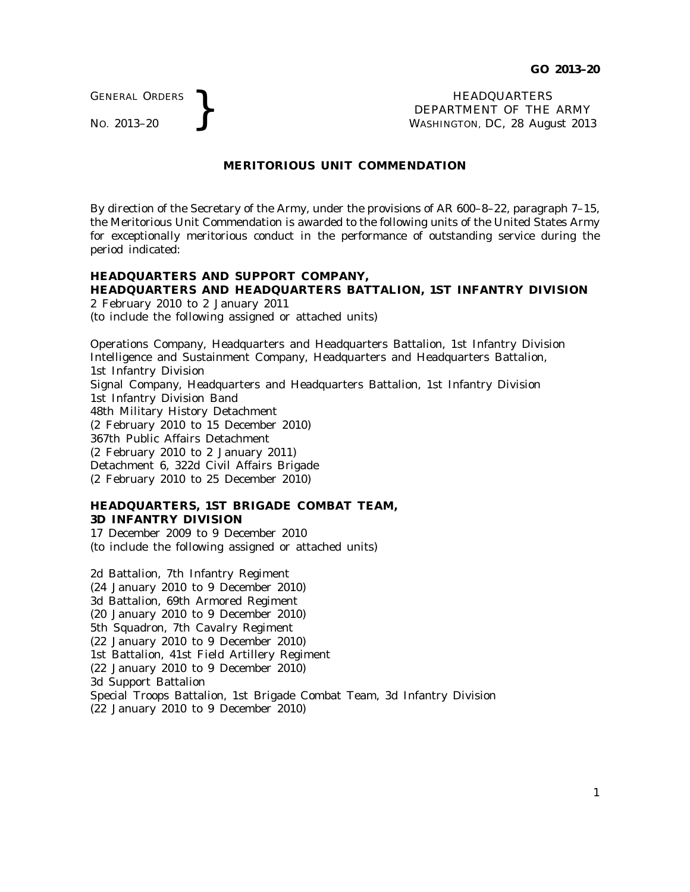GENERAL ORDERS

GENERAL ORDERS **REAL ORDERS** HEADQUARTERS **NEADQUARTERS NEADQUARTERS NEADQUARTERS DEPARTMENT** OF THE **WASHINGTON, DC, 28 Aug** DEPARTMENT OF THE ARMY WASHINGTON, DC, *28 August 2013*

### **MERITORIOUS UNIT COMMENDATION**

By direction of the Secretary of the Army, under the provisions of AR 600–8–22, paragraph 7–15, the Meritorious Unit Commendation is awarded to the following units of the United States Army for exceptionally meritorious conduct in the performance of outstanding service during the period indicated:

# **HEADQUARTERS AND SUPPORT COMPANY, HEADQUARTERS AND HEADQUARTERS BATTALION, 1ST INFANTRY DIVISION**

2 February 2010 to 2 January 2011 (to include the following assigned or attached units)

Operations Company, Headquarters and Headquarters Battalion, 1st Infantry Division Intelligence and Sustainment Company, Headquarters and Headquarters Battalion, 1st Infantry Division Signal Company, Headquarters and Headquarters Battalion, 1st Infantry Division 1st Infantry Division Band 48th Military History Detachment (2 February 2010 to 15 December 2010) 367th Public Affairs Detachment (2 February 2010 to 2 January 2011) Detachment 6, 322d Civil Affairs Brigade (2 February 2010 to 25 December 2010)

## **HEADQUARTERS, 1ST BRIGADE COMBAT TEAM, 3D INFANTRY DIVISION**

17 December 2009 to 9 December 2010 (to include the following assigned or attached units)

2d Battalion, 7th Infantry Regiment (24 January 2010 to 9 December 2010) 3d Battalion, 69th Armored Regiment (20 January 2010 to 9 December 2010) 5th Squadron, 7th Cavalry Regiment (22 January 2010 to 9 December 2010) 1st Battalion, 41st Field Artillery Regiment (22 January 2010 to 9 December 2010) 3d Support Battalion Special Troops Battalion, 1st Brigade Combat Team, 3d Infantry Division (22 January 2010 to 9 December 2010)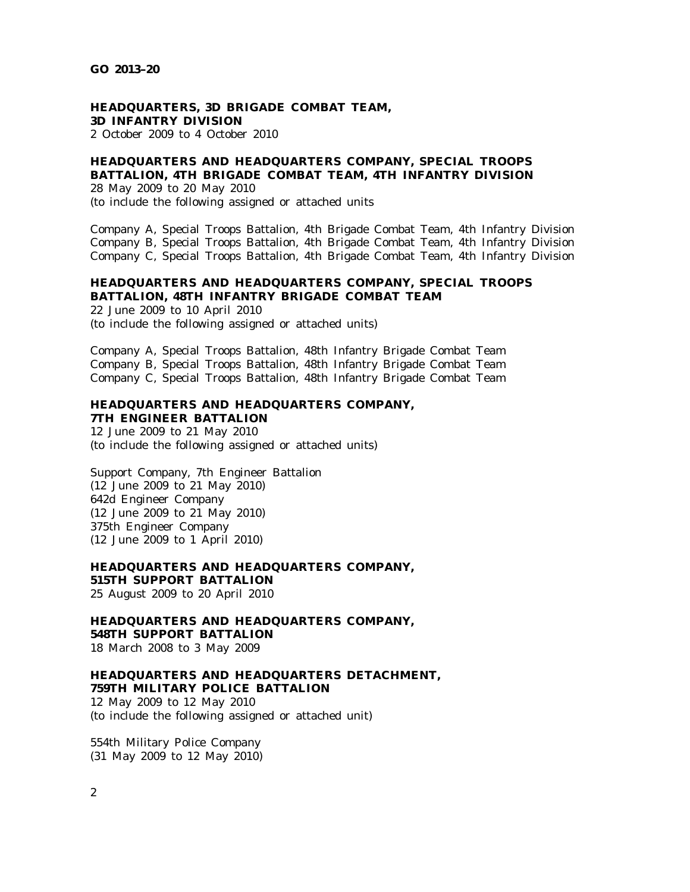# **HEADQUARTERS, 3D BRIGADE COMBAT TEAM, 3D INFANTRY DIVISION**

2 October 2009 to 4 October 2010

# **HEADQUARTERS AND HEADQUARTERS COMPANY, SPECIAL TROOPS BATTALION, 4TH BRIGADE COMBAT TEAM, 4TH INFANTRY DIVISION**

28 May 2009 to 20 May 2010

(to include the following assigned or attached units

Company A, Special Troops Battalion, 4th Brigade Combat Team, 4th Infantry Division Company B, Special Troops Battalion, 4th Brigade Combat Team, 4th Infantry Division Company C, Special Troops Battalion, 4th Brigade Combat Team, 4th Infantry Division

## **HEADQUARTERS AND HEADQUARTERS COMPANY, SPECIAL TROOPS BATTALION, 48TH INFANTRY BRIGADE COMBAT TEAM**

22 June 2009 to 10 April 2010 (to include the following assigned or attached units)

Company A, Special Troops Battalion, 48th Infantry Brigade Combat Team Company B, Special Troops Battalion, 48th Infantry Brigade Combat Team Company C, Special Troops Battalion, 48th Infantry Brigade Combat Team

# **HEADQUARTERS AND HEADQUARTERS COMPANY, 7TH ENGINEER BATTALION**

12 June 2009 to 21 May 2010 (to include the following assigned or attached units)

Support Company, 7th Engineer Battalion (12 June 2009 to 21 May 2010) 642d Engineer Company (12 June 2009 to 21 May 2010) 375th Engineer Company (12 June 2009 to 1 April 2010)

#### **HEADQUARTERS AND HEADQUARTERS COMPANY, 515TH SUPPORT BATTALION** 25 August 2009 to 20 April 2010

**HEADQUARTERS AND HEADQUARTERS COMPANY, 548TH SUPPORT BATTALION** 18 March 2008 to 3 May 2009

### **HEADQUARTERS AND HEADQUARTERS DETACHMENT, 759TH MILITARY POLICE BATTALION**

12 May 2009 to 12 May 2010 (to include the following assigned or attached unit)

554th Military Police Company (31 May 2009 to 12 May 2010)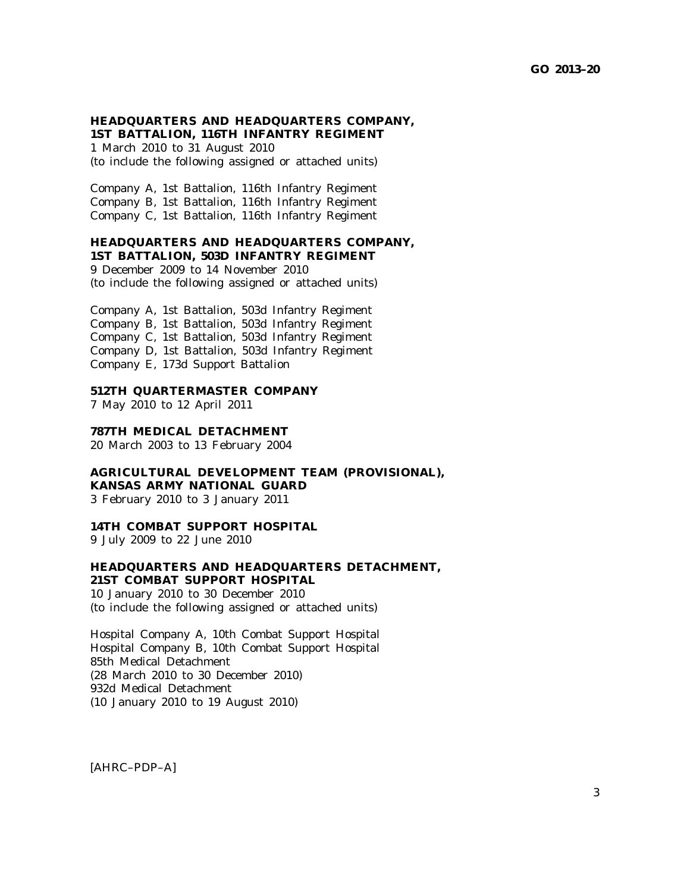### **HEADQUARTERS AND HEADQUARTERS COMPANY, 1ST BATTALION, 116TH INFANTRY REGIMENT**

1 March 2010 to 31 August 2010 (to include the following assigned or attached units)

Company A, 1st Battalion, 116th Infantry Regiment Company B, 1st Battalion, 116th Infantry Regiment Company C, 1st Battalion, 116th Infantry Regiment

#### **HEADQUARTERS AND HEADQUARTERS COMPANY, 1ST BATTALION, 503D INFANTRY REGIMENT**

9 December 2009 to 14 November 2010 (to include the following assigned or attached units)

Company A, 1st Battalion, 503d Infantry Regiment Company B, 1st Battalion, 503d Infantry Regiment Company C, 1st Battalion, 503d Infantry Regiment Company D, 1st Battalion, 503d Infantry Regiment Company E, 173d Support Battalion

### **512TH QUARTERMASTER COMPANY**

7 May 2010 to 12 April 2011

#### **787TH MEDICAL DETACHMENT**

20 March 2003 to 13 February 2004

**AGRICULTURAL DEVELOPMENT TEAM (PROVISIONAL), KANSAS ARMY NATIONAL GUARD**

3 February 2010 to 3 January 2011

#### **14TH COMBAT SUPPORT HOSPITAL**

9 July 2009 to 22 June 2010

## **HEADQUARTERS AND HEADQUARTERS DETACHMENT, 21ST COMBAT SUPPORT HOSPITAL**

10 January 2010 to 30 December 2010 (to include the following assigned or attached units)

Hospital Company A, 10th Combat Support Hospital Hospital Company B, 10th Combat Support Hospital 85th Medical Detachment (28 March 2010 to 30 December 2010) 932d Medical Detachment (10 January 2010 to 19 August 2010)

[AHRC–PDP–A]